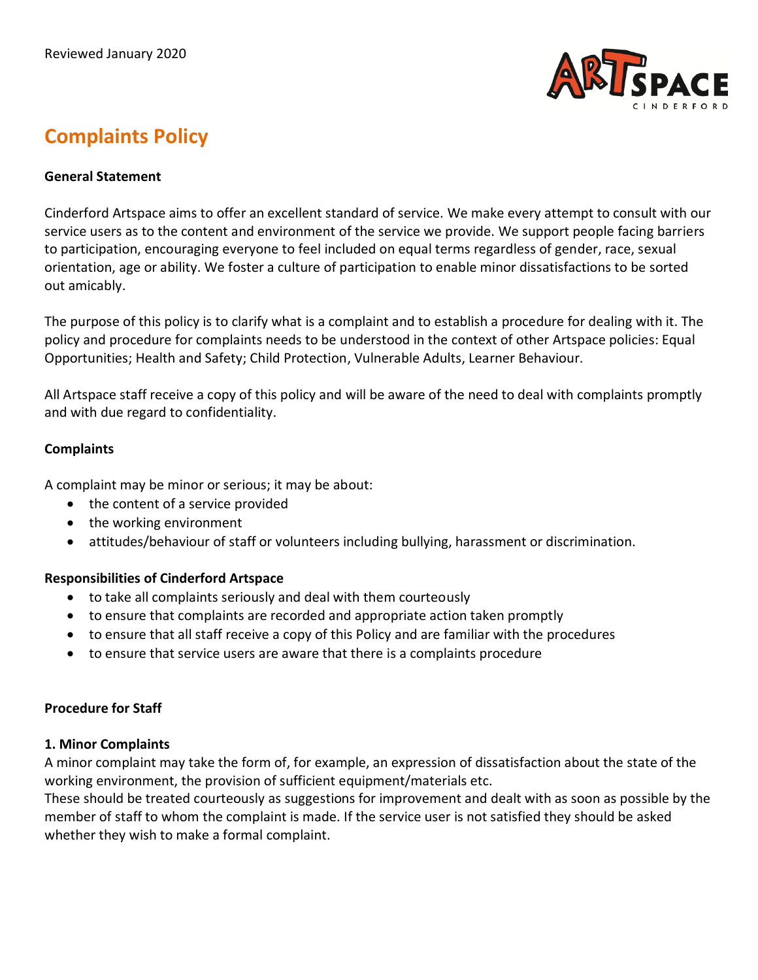

# **Complaints Policy**

## **General Statement**

Cinderford Artspace aims to offer an excellent standard of service. We make every attempt to consult with our service users as to the content and environment of the service we provide. We support people facing barriers to participation, encouraging everyone to feel included on equal terms regardless of gender, race, sexual orientation, age or ability. We foster a culture of participation to enable minor dissatisfactions to be sorted out amicably.

The purpose of this policy is to clarify what is a complaint and to establish a procedure for dealing with it. The policy and procedure for complaints needs to be understood in the context of other Artspace policies: Equal Opportunities; Health and Safety; Child Protection, Vulnerable Adults, Learner Behaviour.

All Artspace staff receive a copy of this policy and will be aware of the need to deal with complaints promptly and with due regard to confidentiality.

## **Complaints**

A complaint may be minor or serious; it may be about:

- the content of a service provided
- the working environment
- attitudes/behaviour of staff or volunteers including bullying, harassment or discrimination.

#### **Responsibilities of Cinderford Artspace**

- to take all complaints seriously and deal with them courteously
- to ensure that complaints are recorded and appropriate action taken promptly
- to ensure that all staff receive a copy of this Policy and are familiar with the procedures
- to ensure that service users are aware that there is a complaints procedure

## **Procedure for Staff**

#### **1. Minor Complaints**

A minor complaint may take the form of, for example, an expression of dissatisfaction about the state of the working environment, the provision of sufficient equipment/materials etc.

These should be treated courteously as suggestions for improvement and dealt with as soon as possible by the member of staff to whom the complaint is made. If the service user is not satisfied they should be asked whether they wish to make a formal complaint.